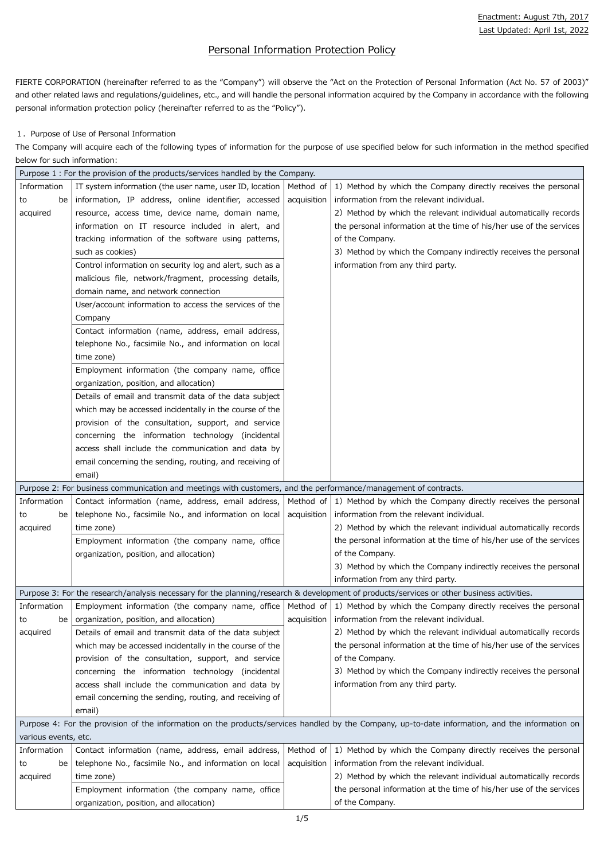# Personal Information Protection Policy

FIERTE CORPORATION (hereinafter referred to as the "Company") will observe the "Act on the Protection of Personal Information (Act No. 57 of 2003)" and other related laws and regulations/guidelines, etc., and will handle the personal information acquired by the Company in accordance with the following personal information protection policy (hereinafter referred to as the "Policy").

## 1. Purpose of Use of Personal Information

The Company will acquire each of the following types of information for the purpose of use specified below for such information in the method specified below for such information:

| Purpose 1: For the provision of the products/services handled by the Company. |                                                                                                                                           |             |                                                                                                                                                 |
|-------------------------------------------------------------------------------|-------------------------------------------------------------------------------------------------------------------------------------------|-------------|-------------------------------------------------------------------------------------------------------------------------------------------------|
| Information                                                                   | IT system information (the user name, user ID, location                                                                                   | Method of   | 1) Method by which the Company directly receives the personal                                                                                   |
| be<br>to                                                                      | information, IP address, online identifier, accessed                                                                                      | acquisition | information from the relevant individual.                                                                                                       |
| acquired                                                                      | resource, access time, device name, domain name,                                                                                          |             | 2) Method by which the relevant individual automatically records                                                                                |
|                                                                               | information on IT resource included in alert, and                                                                                         |             | the personal information at the time of his/her use of the services                                                                             |
|                                                                               | tracking information of the software using patterns,                                                                                      |             | of the Company.                                                                                                                                 |
|                                                                               | such as cookies)                                                                                                                          |             | 3) Method by which the Company indirectly receives the personal                                                                                 |
|                                                                               | Control information on security log and alert, such as a                                                                                  |             | information from any third party.                                                                                                               |
|                                                                               | malicious file, network/fragment, processing details,                                                                                     |             |                                                                                                                                                 |
|                                                                               | domain name, and network connection                                                                                                       |             |                                                                                                                                                 |
|                                                                               | User/account information to access the services of the                                                                                    |             |                                                                                                                                                 |
|                                                                               | Company                                                                                                                                   |             |                                                                                                                                                 |
|                                                                               | Contact information (name, address, email address,                                                                                        |             |                                                                                                                                                 |
|                                                                               | telephone No., facsimile No., and information on local                                                                                    |             |                                                                                                                                                 |
|                                                                               | time zone)                                                                                                                                |             |                                                                                                                                                 |
|                                                                               | Employment information (the company name, office                                                                                          |             |                                                                                                                                                 |
|                                                                               | organization, position, and allocation)                                                                                                   |             |                                                                                                                                                 |
|                                                                               | Details of email and transmit data of the data subject                                                                                    |             |                                                                                                                                                 |
|                                                                               | which may be accessed incidentally in the course of the                                                                                   |             |                                                                                                                                                 |
|                                                                               | provision of the consultation, support, and service                                                                                       |             |                                                                                                                                                 |
|                                                                               | concerning the information technology (incidental                                                                                         |             |                                                                                                                                                 |
|                                                                               | access shall include the communication and data by                                                                                        |             |                                                                                                                                                 |
|                                                                               | email concerning the sending, routing, and receiving of                                                                                   |             |                                                                                                                                                 |
|                                                                               | email)                                                                                                                                    |             |                                                                                                                                                 |
|                                                                               | Purpose 2: For business communication and meetings with customers, and the performance/management of contracts.                           |             |                                                                                                                                                 |
| Information                                                                   | Contact information (name, address, email address,                                                                                        |             | Method of $\vert$ 1) Method by which the Company directly receives the personal                                                                 |
| be<br>to                                                                      | telephone No., facsimile No., and information on local                                                                                    | acquisition | information from the relevant individual.                                                                                                       |
| acquired                                                                      | time zone)                                                                                                                                |             | 2) Method by which the relevant individual automatically records                                                                                |
|                                                                               | Employment information (the company name, office                                                                                          |             | the personal information at the time of his/her use of the services                                                                             |
|                                                                               | organization, position, and allocation)                                                                                                   |             | of the Company.                                                                                                                                 |
|                                                                               |                                                                                                                                           |             | 3) Method by which the Company indirectly receives the personal                                                                                 |
|                                                                               |                                                                                                                                           |             | information from any third party.                                                                                                               |
|                                                                               | Purpose 3: For the research/analysis necessary for the planning/research & development of products/services or other business activities. |             |                                                                                                                                                 |
| Information                                                                   | Employment information (the company name, office                                                                                          |             | Method of $\vert$ 1) Method by which the Company directly receives the personal                                                                 |
| be<br>to                                                                      | organization, position, and allocation)                                                                                                   | acquisition | information from the relevant individual.                                                                                                       |
| acquired                                                                      | Details of email and transmit data of the data subject                                                                                    |             | 2) Method by which the relevant individual automatically records                                                                                |
|                                                                               | which may be accessed incidentally in the course of the                                                                                   |             | the personal information at the time of his/her use of the services                                                                             |
|                                                                               | provision of the consultation, support, and service                                                                                       |             | of the Company.                                                                                                                                 |
|                                                                               | concerning the information technology (incidental                                                                                         |             | 3) Method by which the Company indirectly receives the personal                                                                                 |
|                                                                               | access shall include the communication and data by                                                                                        |             | information from any third party.                                                                                                               |
|                                                                               | email concerning the sending, routing, and receiving of                                                                                   |             |                                                                                                                                                 |
|                                                                               | email)                                                                                                                                    |             |                                                                                                                                                 |
|                                                                               |                                                                                                                                           |             | Purpose 4: For the provision of the information on the products/services handled by the Company, up-to-date information, and the information on |
| various events, etc.                                                          |                                                                                                                                           |             |                                                                                                                                                 |
| Information                                                                   | Contact information (name, address, email address,                                                                                        | Method of   | 1) Method by which the Company directly receives the personal                                                                                   |
| be<br>to                                                                      | telephone No., facsimile No., and information on local                                                                                    | acquisition | information from the relevant individual.                                                                                                       |
| acquired                                                                      | time zone)                                                                                                                                |             | 2) Method by which the relevant individual automatically records                                                                                |
|                                                                               | Employment information (the company name, office                                                                                          |             | the personal information at the time of his/her use of the services                                                                             |
|                                                                               | organization, position, and allocation)                                                                                                   |             | of the Company.                                                                                                                                 |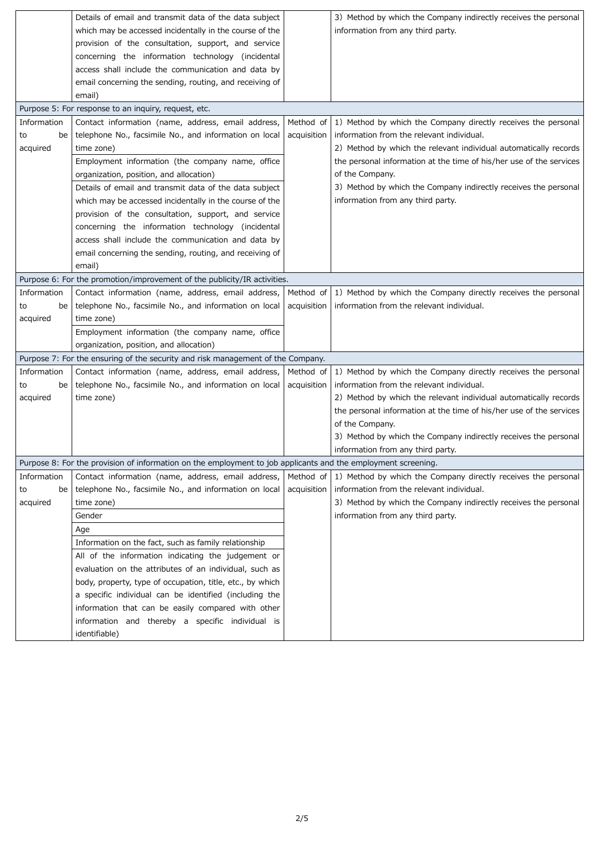|             | Details of email and transmit data of the data subject                                                           |             | 3) Method by which the Company indirectly receives the personal                 |
|-------------|------------------------------------------------------------------------------------------------------------------|-------------|---------------------------------------------------------------------------------|
|             | which may be accessed incidentally in the course of the                                                          |             | information from any third party.                                               |
|             | provision of the consultation, support, and service                                                              |             |                                                                                 |
|             | concerning the information technology (incidental                                                                |             |                                                                                 |
|             | access shall include the communication and data by                                                               |             |                                                                                 |
|             | email concerning the sending, routing, and receiving of                                                          |             |                                                                                 |
|             | email)                                                                                                           |             |                                                                                 |
|             | Purpose 5: For response to an inquiry, request, etc.                                                             |             |                                                                                 |
| Information | Contact information (name, address, email address,                                                               | Method of   | 1) Method by which the Company directly receives the personal                   |
| be<br>to    | telephone No., facsimile No., and information on local                                                           | acquisition | information from the relevant individual.                                       |
| acquired    | time zone)                                                                                                       |             | 2) Method by which the relevant individual automatically records                |
|             | Employment information (the company name, office                                                                 |             | the personal information at the time of his/her use of the services             |
|             | organization, position, and allocation)                                                                          |             | of the Company.                                                                 |
|             | Details of email and transmit data of the data subject                                                           |             | 3) Method by which the Company indirectly receives the personal                 |
|             | which may be accessed incidentally in the course of the                                                          |             | information from any third party.                                               |
|             | provision of the consultation, support, and service                                                              |             |                                                                                 |
|             | concerning the information technology (incidental                                                                |             |                                                                                 |
|             | access shall include the communication and data by                                                               |             |                                                                                 |
|             | email concerning the sending, routing, and receiving of                                                          |             |                                                                                 |
|             | email)                                                                                                           |             |                                                                                 |
|             | Purpose 6: For the promotion/improvement of the publicity/IR activities.                                         |             |                                                                                 |
| Information | Contact information (name, address, email address,                                                               |             | Method of $\vert$ 1) Method by which the Company directly receives the personal |
| be<br>to    | telephone No., facsimile No., and information on local   acquisition   information from the relevant individual. |             |                                                                                 |
|             | time zone)                                                                                                       |             |                                                                                 |
| acquired    |                                                                                                                  |             |                                                                                 |
|             | Employment information (the company name, office                                                                 |             |                                                                                 |
|             | organization, position, and allocation)                                                                          |             |                                                                                 |
|             | Purpose 7: For the ensuring of the security and risk management of the Company.                                  |             |                                                                                 |
| Information | Contact information (name, address, email address,   Method of                                                   |             | 1) Method by which the Company directly receives the personal                   |
| be<br>to    | telephone No., facsimile No., and information on local                                                           | acquisition | information from the relevant individual.                                       |
| acquired    | time zone)                                                                                                       |             | 2) Method by which the relevant individual automatically records                |
|             |                                                                                                                  |             | the personal information at the time of his/her use of the services             |
|             |                                                                                                                  |             | of the Company.                                                                 |
|             |                                                                                                                  |             | 3) Method by which the Company indirectly receives the personal                 |
|             |                                                                                                                  |             | information from any third party.                                               |
|             | Purpose 8: For the provision of information on the employment to job applicants and the employment screening.    |             |                                                                                 |
| Information | Contact information (name, address, email address,                                                               | Method of   | 1) Method by which the Company directly receives the personal                   |
| be<br>to    | telephone No., facsimile No., and information on local                                                           | acquisition | information from the relevant individual.                                       |
| acquired    | time zone)                                                                                                       |             | 3) Method by which the Company indirectly receives the personal                 |
|             | Gender                                                                                                           |             | information from any third party.                                               |
|             | Age                                                                                                              |             |                                                                                 |
|             | Information on the fact, such as family relationship                                                             |             |                                                                                 |
|             | All of the information indicating the judgement or                                                               |             |                                                                                 |
|             | evaluation on the attributes of an individual, such as                                                           |             |                                                                                 |
|             | body, property, type of occupation, title, etc., by which                                                        |             |                                                                                 |
|             |                                                                                                                  |             |                                                                                 |
|             | a specific individual can be identified (including the                                                           |             |                                                                                 |
|             | information that can be easily compared with other                                                               |             |                                                                                 |
|             | information and thereby a specific individual is                                                                 |             |                                                                                 |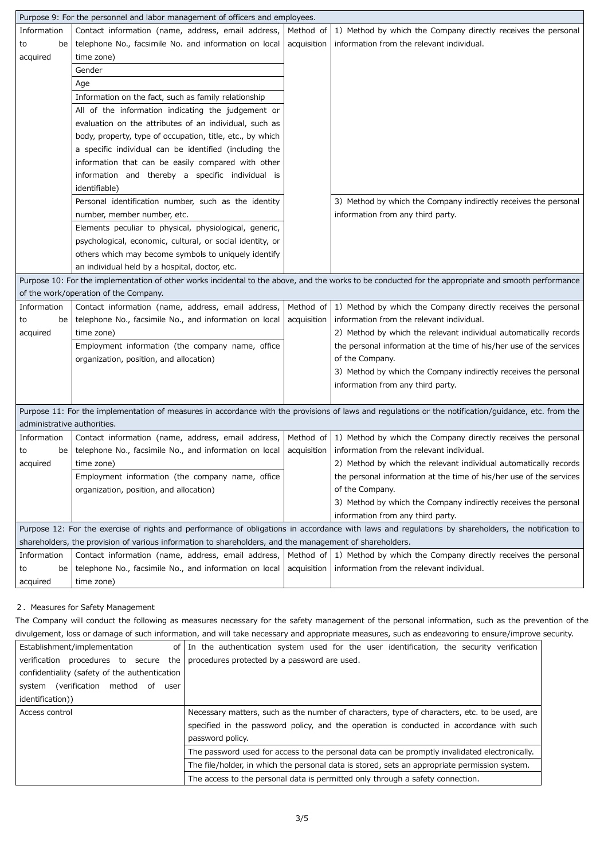|                             | Purpose 9: For the personnel and labor management of officers and employees.                                                               |             |                                                                                                                                                      |
|-----------------------------|--------------------------------------------------------------------------------------------------------------------------------------------|-------------|------------------------------------------------------------------------------------------------------------------------------------------------------|
| Information                 | Contact information (name, address, email address,                                                                                         | Method of   | 1) Method by which the Company directly receives the personal                                                                                        |
| be<br>to                    | telephone No., facsimile No. and information on local                                                                                      | acquisition | information from the relevant individual.                                                                                                            |
| acquired                    | time zone)                                                                                                                                 |             |                                                                                                                                                      |
|                             | Gender                                                                                                                                     |             |                                                                                                                                                      |
|                             | Age                                                                                                                                        |             |                                                                                                                                                      |
|                             | Information on the fact, such as family relationship                                                                                       |             |                                                                                                                                                      |
|                             | All of the information indicating the judgement or                                                                                         |             |                                                                                                                                                      |
|                             | evaluation on the attributes of an individual, such as                                                                                     |             |                                                                                                                                                      |
|                             | body, property, type of occupation, title, etc., by which                                                                                  |             |                                                                                                                                                      |
|                             | a specific individual can be identified (including the                                                                                     |             |                                                                                                                                                      |
|                             | information that can be easily compared with other                                                                                         |             |                                                                                                                                                      |
|                             | information and thereby a specific individual is                                                                                           |             |                                                                                                                                                      |
|                             | identifiable)                                                                                                                              |             |                                                                                                                                                      |
|                             | Personal identification number, such as the identity                                                                                       |             | 3) Method by which the Company indirectly receives the personal                                                                                      |
|                             | number, member number, etc.                                                                                                                |             | information from any third party.                                                                                                                    |
|                             | Elements peculiar to physical, physiological, generic,                                                                                     |             |                                                                                                                                                      |
|                             | psychological, economic, cultural, or social identity, or                                                                                  |             |                                                                                                                                                      |
|                             | others which may become symbols to uniquely identify                                                                                       |             |                                                                                                                                                      |
|                             | an individual held by a hospital, doctor, etc.                                                                                             |             |                                                                                                                                                      |
|                             |                                                                                                                                            |             | Purpose 10: For the implementation of other works incidental to the above, and the works to be conducted for the appropriate and smooth performance  |
|                             | of the work/operation of the Company.                                                                                                      |             |                                                                                                                                                      |
| Information                 | Contact information (name, address, email address,                                                                                         |             | Method of $\vert$ 1) Method by which the Company directly receives the personal                                                                      |
| be<br>to                    | telephone No., facsimile No., and information on local                                                                                     | acquisition | information from the relevant individual.                                                                                                            |
| acquired                    | time zone)                                                                                                                                 |             | 2) Method by which the relevant individual automatically records                                                                                     |
|                             | Employment information (the company name, office                                                                                           |             | the personal information at the time of his/her use of the services                                                                                  |
|                             | organization, position, and allocation)                                                                                                    |             | of the Company.                                                                                                                                      |
|                             |                                                                                                                                            |             | 3) Method by which the Company indirectly receives the personal                                                                                      |
|                             |                                                                                                                                            |             | information from any third party.                                                                                                                    |
|                             |                                                                                                                                            |             |                                                                                                                                                      |
|                             |                                                                                                                                            |             | Purpose 11: For the implementation of measures in accordance with the provisions of laws and regulations or the notification/guidance, etc. from the |
| administrative authorities. |                                                                                                                                            |             |                                                                                                                                                      |
| Information                 | Contact information (name, address, email address,                                                                                         | Method of   | 1) Method by which the Company directly receives the personal                                                                                        |
| to<br>be                    | telephone No., facsimile No., and information on local                                                                                     | acquisition | information from the relevant individual.                                                                                                            |
| acquired                    | time zone)                                                                                                                                 |             | 2) Method by which the relevant individual automatically records                                                                                     |
|                             | Employment information (the company name, office                                                                                           |             | the personal information at the time of his/her use of the services                                                                                  |
|                             | organization, position, and allocation)                                                                                                    |             | of the Company.                                                                                                                                      |
|                             |                                                                                                                                            |             | 3) Method by which the Company indirectly receives the personal                                                                                      |
|                             |                                                                                                                                            |             | information from any third party.                                                                                                                    |
|                             |                                                                                                                                            |             | Purpose 12: For the exercise of rights and performance of obligations in accordance with laws and regulations by shareholders, the notification to   |
|                             | shareholders, the provision of various information to shareholders, and the management of shareholders.                                    |             |                                                                                                                                                      |
|                             |                                                                                                                                            |             |                                                                                                                                                      |
| Information                 |                                                                                                                                            |             | Contact information (name, address, email address,   Method of $\vert$ 1) Method by which the Company directly receives the personal                 |
| be<br>to<br>acquired        | telephone No., facsimile No., and information on local $\vert$ acquisition $\vert$ information from the relevant individual.<br>time zone) |             |                                                                                                                                                      |

#### 2. Measures for Safety Management

The Company will conduct the following as measures necessary for the safety management of the personal information, such as the prevention of the divulgement, loss or damage of such information, and will take necessary and appropriate measures, such as endeavoring to ensure/improve security.

| confidentiality (safety of the authentication<br>(verification method of<br>system<br>user | verification procedures to secure the procedures protected by a password are used.                                                                                                                            |
|--------------------------------------------------------------------------------------------|---------------------------------------------------------------------------------------------------------------------------------------------------------------------------------------------------------------|
| identification))                                                                           |                                                                                                                                                                                                               |
| Access control                                                                             | Necessary matters, such as the number of characters, type of characters, etc. to be used, are<br>specified in the password policy, and the operation is conducted in accordance with such<br>password policy. |
|                                                                                            | The password used for access to the personal data can be promptly invalidated electronically.                                                                                                                 |
|                                                                                            | The file/holder, in which the personal data is stored, sets an appropriate permission system.                                                                                                                 |
|                                                                                            | The access to the personal data is permitted only through a safety connection.                                                                                                                                |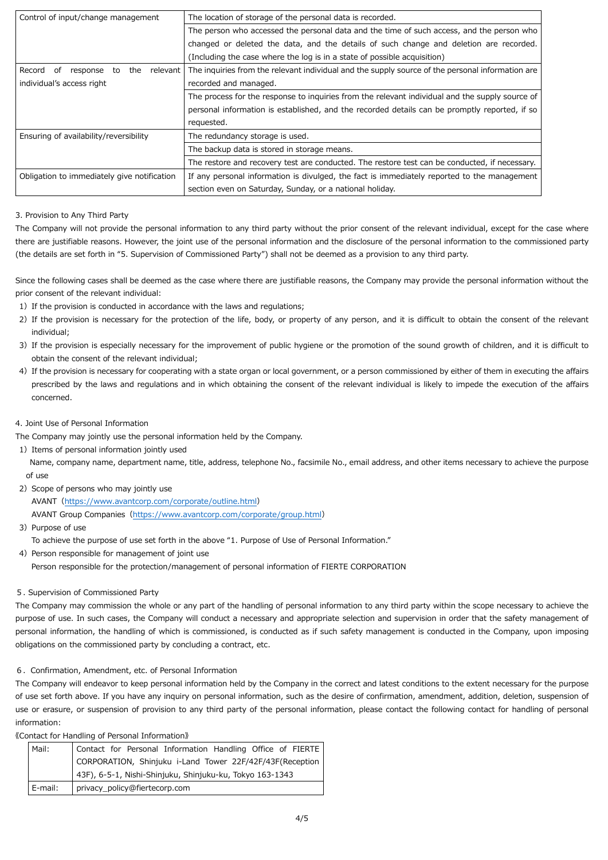| Control of input/change management                    | The location of storage of the personal data is recorded.                                        |
|-------------------------------------------------------|--------------------------------------------------------------------------------------------------|
|                                                       | The person who accessed the personal data and the time of such access, and the person who        |
|                                                       | changed or deleted the data, and the details of such change and deletion are recorded.           |
|                                                       | (Including the case where the log is in a state of possible acquisition)                         |
| the<br>Record<br>relevant  <br>response<br>to<br>. of | The inquiries from the relevant individual and the supply source of the personal information are |
| individual's access right                             | recorded and managed.                                                                            |
|                                                       | The process for the response to inquiries from the relevant individual and the supply source of  |
|                                                       | personal information is established, and the recorded details can be promptly reported, if so    |
|                                                       | requested.                                                                                       |
| Ensuring of availability/reversibility                | The redundancy storage is used.                                                                  |
|                                                       | The backup data is stored in storage means.                                                      |
|                                                       | The restore and recovery test are conducted. The restore test can be conducted, if necessary.    |
| Obligation to immediately give notification           | If any personal information is divulged, the fact is immediately reported to the management      |
|                                                       | section even on Saturday, Sunday, or a national holiday.                                         |

### 3. Provision to Any Third Party

- 1) If the provision is conducted in accordance with the laws and regulations;
- 2) If the provision is necessary for the protection of the life, body, or property of any person, and it is difficult to obtain the consent of the relevant individual;
- 3) If the provision is especially necessary for the improvement of public hygiene or the promotion of the sound growth of children, and it is difficult to obtain the consent of the relevant individual;
- 4) If the provision is necessary for cooperating with a state organ or local government, or a person commissioned by either of them in executing the affairs prescribed by the laws and regulations and in which obtaining the consent of the relevant individual is likely to impede the execution of the affairs concerned.
- 4. Joint Use of Personal Information

The Company will not provide the personal information to any third party without the prior consent of the relevant individual, except for the case where there are justifiable reasons. However, the joint use of the personal information and the disclosure of the personal information to the commissioned party (the details are set forth in "5. Supervision of Commissioned Party") shall not be deemed as a provision to any third party.

4) Person responsible for management of joint use Person responsible for the protection/management of personal information of FIERTE CORPORATION

Since the following cases shall be deemed as the case where there are justifiable reasons, the Company may provide the personal information without the prior consent of the relevant individual:

The Company may jointly use the personal information held by the Company.

1) Items of personal information jointly used

Name, company name, department name, title, address, telephone No., facsimile No., email address, and other items necessary to achieve the purpose of use

2) Scope of persons who may jointly use

AVANT(https://www.avantcorp.com/corporate/outline.html)

AVANT Group Companies (https://www.avantcorp.com/corporate/group.html)

3) Purpose of use

To achieve the purpose of use set forth in the above "1. Purpose of Use of Personal Information."

#### 5. Supervision of Commissioned Party

The Company may commission the whole or any part of the handling of personal information to any third party within the scope necessary to achieve the purpose of use. In such cases, the Company will conduct a necessary and appropriate selection and supervision in order that the safety management of personal information, the handling of which is commissioned, is conducted as if such safety management is conducted in the Company, upon imposing obligations on the commissioned party by concluding a contract, etc.

#### 6.Confirmation, Amendment, etc. of Personal Information

The Company will endeavor to keep personal information held by the Company in the correct and latest conditions to the extent necessary for the purpose of use set forth above. If you have any inquiry on personal information, such as the desire of confirmation, amendment, addition, deletion, suspension of use or erasure, or suspension of provision to any third party of the personal information, please contact the following contact for handling of personal information:

《Contact for Handling of Personal Information》

| Mail:   | Contact for Personal Information Handling Office of FIERTE |  |
|---------|------------------------------------------------------------|--|
|         | CORPORATION, Shinjuku i-Land Tower 22F/42F/43F(Reception   |  |
|         | 43F), 6-5-1, Nishi-Shinjuku, Shinjuku-ku, Tokyo 163-1343   |  |
| E-mail: | privacy_policy@fiertecorp.com                              |  |